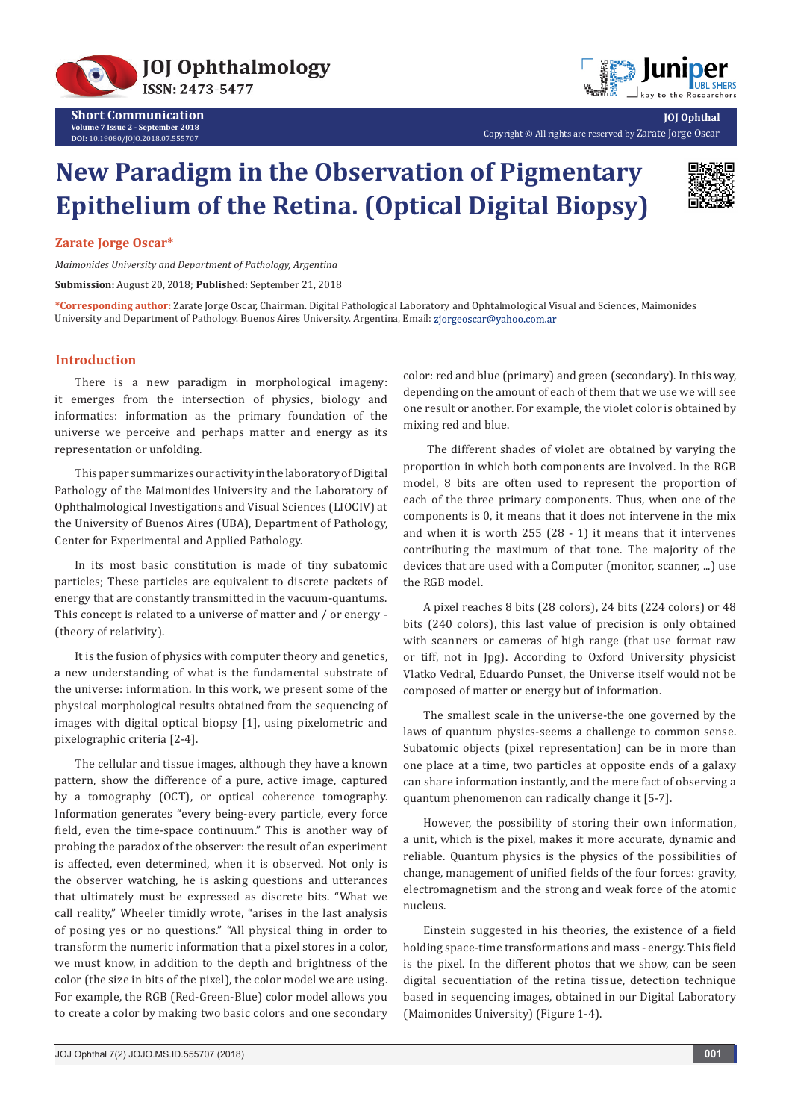



Copyright © All rights are reserved by Zarate Jorge Oscar

# **New Paradigm in the Observation of Pigmentary Epithelium of the Retina. (Optical Digital Biopsy)**



**JOJ Ophthal**

# **Zarate Jorge Oscar\***

*Maimonides University and Department of Pathology, Argentina*

**Submission:** August 20, 2018; **Published:** September 21, 2018

**\*Corresponding author:** Zarate Jorge Oscar, Chairman. Digital Pathological Laboratory and Ophtalmological Visual and Sciences, Maimonides University and Department of Pathology. Buenos Aires University. Argentina, Email: zjorgeoscar@yahoo.com.ar

### **Introduction**

There is a new paradigm in morphological imageny: it emerges from the intersection of physics, biology and informatics: information as the primary foundation of the universe we perceive and perhaps matter and energy as its representation or unfolding.

This paper summarizes our activity in the laboratory of Digital Pathology of the Maimonides University and the Laboratory of Ophthalmological Investigations and Visual Sciences (LIOCIV) at the University of Buenos Aires (UBA), Department of Pathology, Center for Experimental and Applied Pathology.

In its most basic constitution is made of tiny subatomic particles; These particles are equivalent to discrete packets of energy that are constantly transmitted in the vacuum-quantums. This concept is related to a universe of matter and / or energy - (theory of relativity).

It is the fusion of physics with computer theory and genetics, a new understanding of what is the fundamental substrate of the universe: information. In this work, we present some of the physical morphological results obtained from the sequencing of images with digital optical biopsy [1], using pixelometric and pixelographic criteria [2-4].

The cellular and tissue images, although they have a known pattern, show the difference of a pure, active image, captured by a tomography (OCT), or optical coherence tomography. Information generates "every being-every particle, every force field, even the time-space continuum." This is another way of probing the paradox of the observer: the result of an experiment is affected, even determined, when it is observed. Not only is the observer watching, he is asking questions and utterances that ultimately must be expressed as discrete bits. "What we call reality," Wheeler timidly wrote, "arises in the last analysis of posing yes or no questions." "All physical thing in order to transform the numeric information that a pixel stores in a color, we must know, in addition to the depth and brightness of the color (the size in bits of the pixel), the color model we are using. For example, the RGB (Red-Green-Blue) color model allows you to create a color by making two basic colors and one secondary

color: red and blue (primary) and green (secondary). In this way, depending on the amount of each of them that we use we will see one result or another. For example, the violet color is obtained by mixing red and blue.

 The different shades of violet are obtained by varying the proportion in which both components are involved. In the RGB model, 8 bits are often used to represent the proportion of each of the three primary components. Thus, when one of the components is 0, it means that it does not intervene in the mix and when it is worth 255 (28 - 1) it means that it intervenes contributing the maximum of that tone. The majority of the devices that are used with a Computer (monitor, scanner, ...) use the RGB model.

A pixel reaches 8 bits (28 colors), 24 bits (224 colors) or 48 bits (240 colors), this last value of precision is only obtained with scanners or cameras of high range (that use format raw or tiff, not in Jpg). According to Oxford University physicist Vlatko Vedral, Eduardo Punset, the Universe itself would not be composed of matter or energy but of information.

The smallest scale in the universe-the one governed by the laws of quantum physics-seems a challenge to common sense. Subatomic objects (pixel representation) can be in more than one place at a time, two particles at opposite ends of a galaxy can share information instantly, and the mere fact of observing a quantum phenomenon can radically change it [5-7].

However, the possibility of storing their own information, a unit, which is the pixel, makes it more accurate, dynamic and reliable. Quantum physics is the physics of the possibilities of change, management of unified fields of the four forces: gravity, electromagnetism and the strong and weak force of the atomic nucleus.

Einstein suggested in his theories, the existence of a field holding space-time transformations and mass - energy. This field is the pixel. In the different photos that we show, can be seen digital secuentiation of the retina tissue, detection technique based in sequencing images, obtained in our Digital Laboratory (Maimonides University) (Figure 1-4).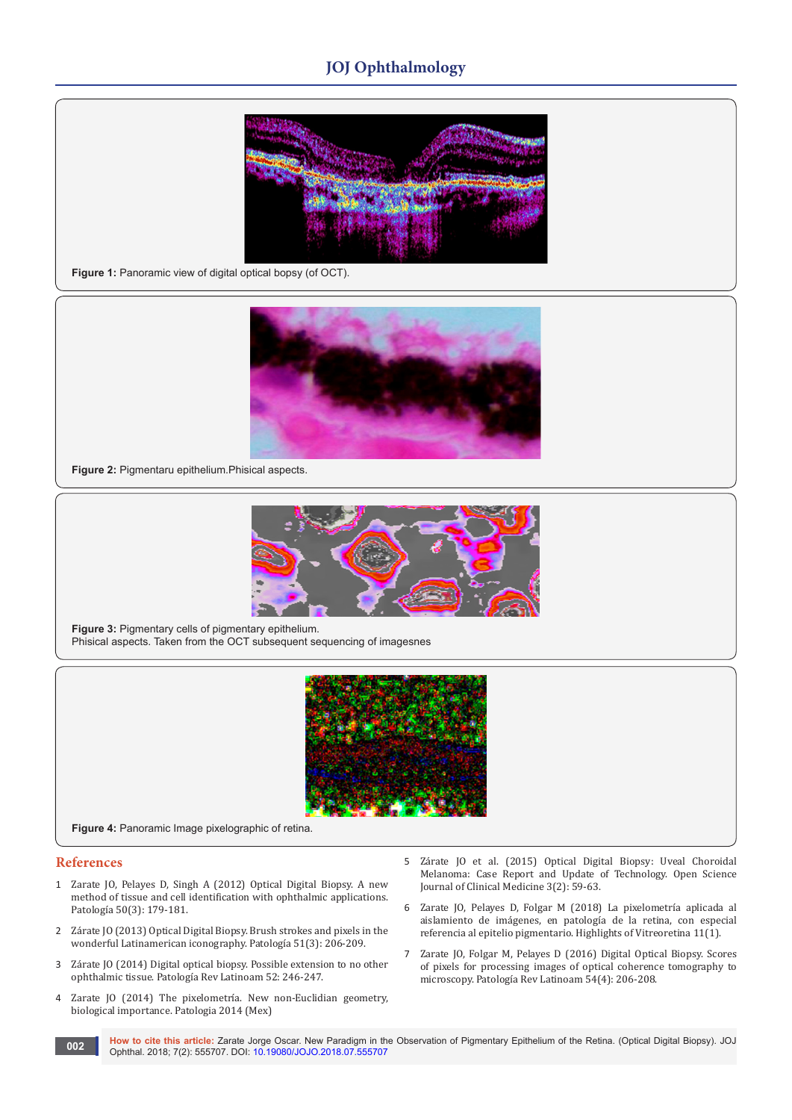# **JOJ Ophthalmology**



**Figure 1:** Panoramic view of digital optical bopsy (of OCT).



**Figure 2:** Pigmentaru epithelium.Phisical aspects.



**Figure 3:** Pigmentary cells of pigmentary epithelium. Phisical aspects. Taken from the OCT subsequent sequencing of imagesnes



**Figure 4:** Panoramic Image pixelographic of retina.

#### **References**

- 1 [Zarate JO, Pelayes D, Singh A \(2012\) Optical Digital Biopsy. A new](http://www.medigraphic.com/cgi-bin/new/resumenI.cgi?IDARTICULO=38018)  [method of tissue and cell identification with ophthalmic applications.](http://www.medigraphic.com/cgi-bin/new/resumenI.cgi?IDARTICULO=38018) [Patología 50\(3\): 179-181.](http://www.medigraphic.com/cgi-bin/new/resumenI.cgi?IDARTICULO=38018)
- 2 [Zárate JO \(2013\) Optical Digital Biopsy. Brush strokes and pixels in the](http://www.openscienceonline.com/journal/archive2?journalId=705&paperId=1658)  [wonderful Latinamerican iconography. Patología 51\(3\): 206-209.](http://www.openscienceonline.com/journal/archive2?journalId=705&paperId=1658)
- 3 [Zárate JO \(2014\) Digital optical biopsy. Possible extension to no other](https://madridge.org/journal-of-ophthalmology/MJOP-1000104.php) [ophthalmic tissue. Patología Rev Latinoam 52: 246-247.](https://madridge.org/journal-of-ophthalmology/MJOP-1000104.php)
- 4 Zarate JO (2014) The pixelometría. New non-Euclidian geometry, biological importance. Patologia 2014 (Mex)
- 5 Zárate JO et al. (2015) Optical Digital Biopsy: Uveal Choroidal Melanoma: Case Report and Update of Technology. Open Science Journal of Clinical Medicine 3(2): 59-63.
- 6 Zarate JO, Pelayes D, Folgar M (2018) La pixelometría aplicada al aislamiento de imágenes, en patología de la retina, con especial referencia al epitelio pigmentario. Highlights of Vitreoretina 11(1).
- 7 Zarate JO, Folgar M, Pelayes D (2016) Digital Optical Biopsy. Scores of pixels for processing images of optical coherence tomography to microscopy. Patología Rev Latinoam 54(4): 206-208.
- **How to cite this article:** Zarate Jorge Oscar. New Paradigm in the Observation of Pigmentary Epithelium of the Retina. (Optical Digital Biopsy). JOJ **OD2 Ophthal.** 2018; 7(2): 555707. DOI: [10.19080/JOJO.2018.07.555707](http://dx.doi.org/10.19080/JOJO.2018.07.555707)